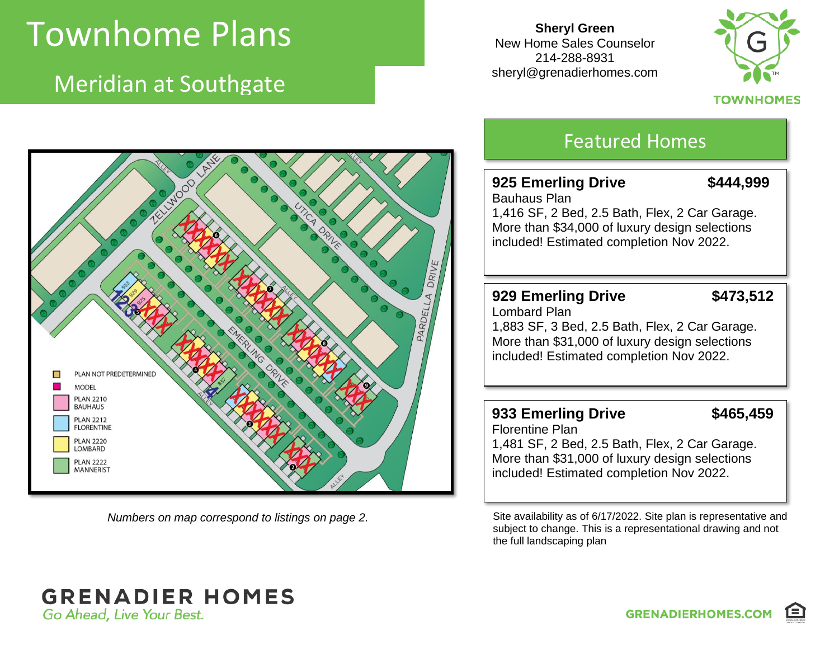# Townhome Plans

Meridian at Southgate

**Sheryl Green** New Home Sales Counselor 214-288-8931 sheryl@grenadierhomes.com



### **TOWNHOMES**



## Featured Homes

## **925 Emerling Drive \$444,999**

Bauhaus Plan 1,416 SF, 2 Bed, 2.5 Bath, Flex, 2 Car Garage. More than \$34,000 of luxury design selections included! Estimated completion Nov 2022.

## **929 Emerling Drive \$473,512**

Lombard Plan 1,883 SF, 3 Bed, 2.5 Bath, Flex, 2 Car Garage. More than \$31,000 of luxury design selections included! Estimated completion Nov 2022.

## **933 Emerling Drive \$465,459**

Florentine Plan 1,481 SF, 2 Bed, 2.5 Bath, Flex, 2 Car Garage. More than \$31,000 of luxury design selections included! Estimated completion Nov 2022.

*Numbers on map correspond to listings on page 2.* Site availability as of 6/17/2022. Site plan is representative and subject to change. This is a representational drawing and not the full landscaping plan